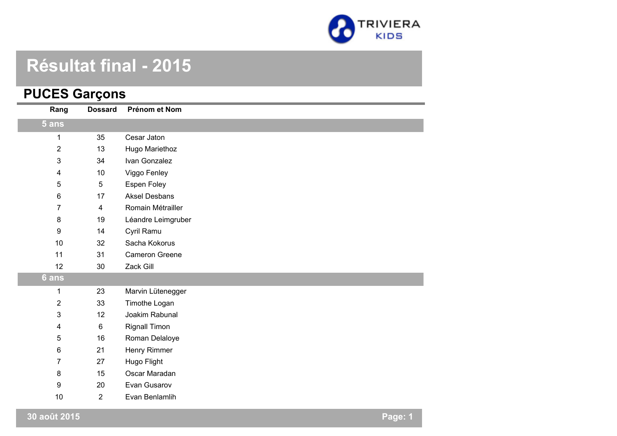

# **Résultat final - 2015**

#### **PUCES Garçons**

| Rang                    | <b>Dossard</b>          | Prénom et Nom         |
|-------------------------|-------------------------|-----------------------|
| 5 ans                   |                         |                       |
| 1                       | 35                      | Cesar Jaton           |
| $\overline{2}$          | 13                      | Hugo Mariethoz        |
| $\mathbf{3}$            | 34                      | Ivan Gonzalez         |
| $\overline{\mathbf{4}}$ | 10                      | Viggo Fenley          |
| 5                       | $\overline{5}$          | <b>Espen Foley</b>    |
| $\,6\,$                 | 17                      | <b>Aksel Desbans</b>  |
| 7                       | $\overline{\mathbf{4}}$ | Romain Métrailler     |
| 8                       | 19                      | Léandre Leimgruber    |
| $\boldsymbol{9}$        | 14                      | Cyril Ramu            |
| 10                      | 32                      | Sacha Kokorus         |
| 11                      | 31                      | <b>Cameron Greene</b> |
| 12                      | 30                      | Zack Gill             |
| 6 ans                   |                         |                       |
| 1                       | 23                      | Marvin Lütenegger     |
| $\overline{2}$          | 33                      | Timothe Logan         |
| $\mathbf{3}$            | 12                      | Joakim Rabunal        |
| $\overline{\mathbf{4}}$ | $\,6\,$                 | <b>Rignall Timon</b>  |
| 5                       | 16                      | Roman Delaloye        |
| $\,6\,$                 | 21                      | Henry Rimmer          |
| $\overline{7}$          | 27                      | Hugo Flight           |
| 8                       | 15                      | Oscar Maradan         |
| $\boldsymbol{9}$        | 20                      | Evan Gusarov          |
| 10                      | $\overline{2}$          | Evan Benlamlih        |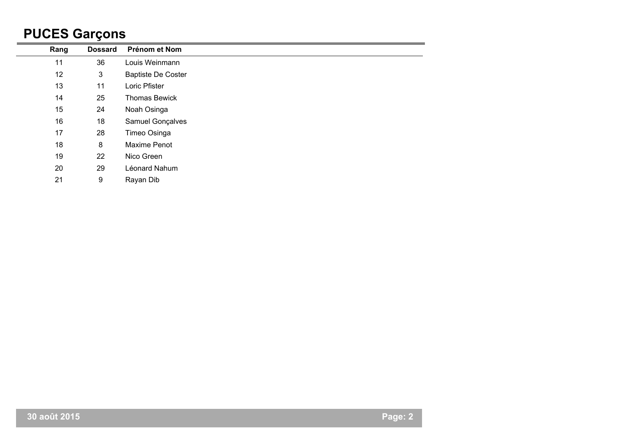## **PUCES Garçons**

|      | -              |                           |
|------|----------------|---------------------------|
| Rang | <b>Dossard</b> | Prénom et Nom             |
| 11   | 36             | Louis Weinmann            |
| 12   | 3              | <b>Baptiste De Coster</b> |
| 13   | 11             | Loric Pfister             |
| 14   | 25             | <b>Thomas Bewick</b>      |
| 15   | 24             | Noah Osinga               |
| 16   | 18             | Samuel Gonçalves          |
| 17   | 28             | Timeo Osinga              |
| 18   | 8              | Maxime Penot              |
| 19   | 22             | Nico Green                |
| 20   | 29             | Léonard Nahum             |
| 21   | 9              | Rayan Dib                 |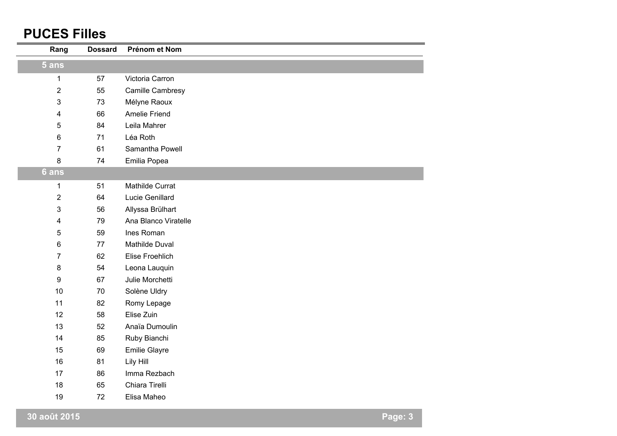#### **PUCES Filles**

| Rang                    | <b>Dossard</b> | Prénom et Nom        |  |
|-------------------------|----------------|----------------------|--|
| $5$ ans                 |                |                      |  |
| $\mathbf{1}$            | 57             | Victoria Carron      |  |
| $\overline{2}$          | 55             | Camille Cambresy     |  |
| $\mathfrak{B}$          | 73             | Mélyne Raoux         |  |
| $\overline{\mathbf{4}}$ | 66             | <b>Amelie Friend</b> |  |
| $\overline{5}$          | 84             | Leila Mahrer         |  |
| $\,6$                   | 71             | Léa Roth             |  |
| $\overline{7}$          | 61             | Samantha Powell      |  |
| 8                       | 74             | Emilia Popea         |  |
| 6 ans                   |                |                      |  |
| $\mathbf 1$             | 51             | Mathilde Currat      |  |
| $\overline{2}$          | 64             | Lucie Genillard      |  |
| $\mathbf{3}$            | 56             | Allyssa Brülhart     |  |
| $\overline{\mathbf{4}}$ | 79             | Ana Blanco Viratelle |  |
| 5                       | 59             | Ines Roman           |  |
| $\,6$                   | 77             | Mathilde Duval       |  |
| $\overline{7}$          | 62             | Elise Froehlich      |  |
| $\bf 8$                 | 54             | Leona Lauquin        |  |
| 9                       | 67             | Julie Morchetti      |  |
| 10                      | 70             | Solène Uldry         |  |
| 11                      | 82             | Romy Lepage          |  |
| 12                      | 58             | Elise Zuin           |  |
| 13                      | 52             | Anaïa Dumoulin       |  |
| 14                      | 85             | Ruby Bianchi         |  |
| 15                      | 69             | Emilie Glayre        |  |
| 16                      | 81             | Lily Hill            |  |
| 17                      | 86             | Imma Rezbach         |  |
| 18                      | 65             | Chiara Tirelli       |  |
| 19                      | 72             | Elisa Maheo          |  |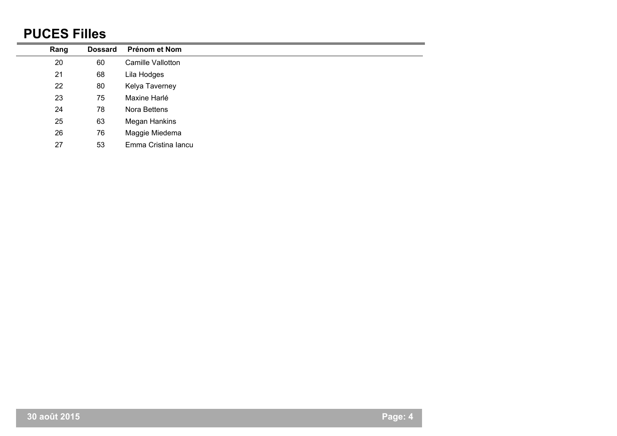#### **PUCES Filles**

| Rang | <b>Dossard</b> | Prénom et Nom       |
|------|----------------|---------------------|
| 20   | 60             | Camille Vallotton   |
| 21   | 68             | Lila Hodges         |
| 22   | 80             | Kelya Taverney      |
| 23   | 75             | Maxine Harlé        |
| 24   | 78             | Nora Bettens        |
| 25   | 63             | Megan Hankins       |
| 26   | 76             | Maggie Miedema      |
| 27   | 53             | Emma Cristina Iancu |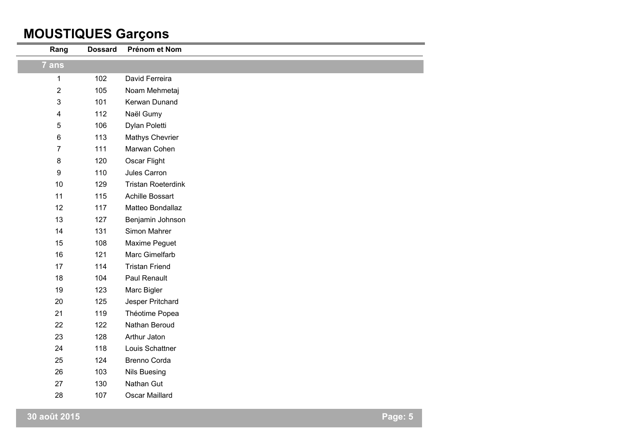### **MOUSTIQUES Garçons**

| Rang                    | <b>Dossard</b> | Prénom et Nom             |
|-------------------------|----------------|---------------------------|
| 7 ans                   |                |                           |
| $\mathbf 1$             | 102            | David Ferreira            |
| $\sqrt{2}$              | 105            | Noam Mehmetaj             |
| 3                       | 101            | Kerwan Dunand             |
| $\overline{\mathbf{4}}$ | 112            | Naël Gumy                 |
| 5                       | 106            | Dylan Poletti             |
| $\,6$                   | 113            | Mathys Chevrier           |
| $\overline{7}$          | 111            | Marwan Cohen              |
| $\bf 8$                 | 120            | Oscar Flight              |
| $\boldsymbol{9}$        | 110            | Jules Carron              |
| 10                      | 129            | <b>Tristan Roeterdink</b> |
| 11                      | 115            | Achille Bossart           |
| 12                      | 117            | Matteo Bondallaz          |
| 13                      | 127            | Benjamin Johnson          |
| 14                      | 131            | Simon Mahrer              |
| 15                      | 108            | Maxime Peguet             |
| 16                      | 121            | Marc Gimelfarb            |
| 17                      | 114            | <b>Tristan Friend</b>     |
| 18                      | 104            | Paul Renault              |
| 19                      | 123            | Marc Bigler               |
| 20                      | 125            | Jesper Pritchard          |
| 21                      | 119            | Théotime Popea            |
| 22                      | 122            | Nathan Beroud             |
| 23                      | 128            | Arthur Jaton              |
| 24                      | 118            | Louis Schattner           |
| 25                      | 124            | Brenno Corda              |
| 26                      | 103            | <b>Nils Buesing</b>       |
| 27                      | 130            | Nathan Gut                |
| 28                      | 107            | Oscar Maillard            |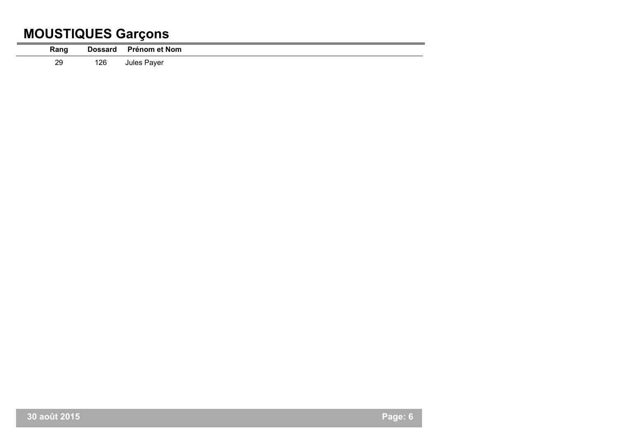### **MOUSTIQUES Garçons**

| Rang |     | Dossard Prénom et Nom |
|------|-----|-----------------------|
| 29   | 126 | Jules Payer           |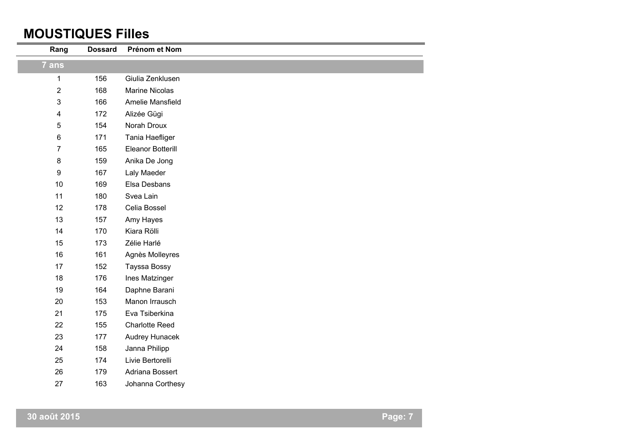#### **MOUSTIQUES Filles**

| Rang           | <b>Dossard</b> | Prénom et Nom         |
|----------------|----------------|-----------------------|
| 7 ans          |                |                       |
| 1              | 156            | Giulia Zenklusen      |
| $\overline{2}$ | 168            | <b>Marine Nicolas</b> |
| 3              | 166            | Amelie Mansfield      |
| 4              | 172            | Alizée Gügi           |
| 5              | 154            | Norah Droux           |
| 6              | 171            | Tania Haefliger       |
| 7              | 165            | Eleanor Botterill     |
| 8              | 159            | Anika De Jong         |
| 9              | 167            | Laly Maeder           |
| 10             | 169            | Elsa Desbans          |
| 11             | 180            | Svea Lain             |
| 12             | 178            | Celia Bossel          |
| 13             | 157            | Amy Hayes             |
| 14             | 170            | Kiara Rölli           |
| 15             | 173            | Zélie Harlé           |
| 16             | 161            | Agnès Molleyres       |
| 17             | 152            | Tayssa Bossy          |
| 18             | 176            | Ines Matzinger        |
| 19             | 164            | Daphne Barani         |
| 20             | 153            | Manon Irrausch        |
| 21             | 175            | Eva Tsiberkina        |
| 22             | 155            | <b>Charlotte Reed</b> |
| 23             | 177            | Audrey Hunacek        |
| 24             | 158            | Janna Philipp         |
| 25             | 174            | Livie Bertorelli      |
| 26             | 179            | Adriana Bossert       |
| 27             | 163            | Johanna Corthesy      |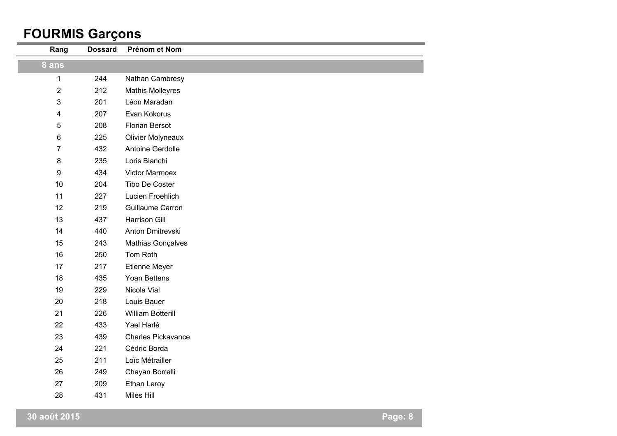#### **FOURMIS Garçons**

| Rang                    | <b>Dossard</b> | Prénom et Nom             |
|-------------------------|----------------|---------------------------|
| 8 ans                   |                |                           |
| $\mathbf{1}$            | 244            | Nathan Cambresy           |
| $\overline{2}$          | 212            | <b>Mathis Molleyres</b>   |
| 3                       | 201            | Léon Maradan              |
| $\overline{\mathbf{4}}$ | 207            | Evan Kokorus              |
| $\sqrt{5}$              | 208            | <b>Florian Bersot</b>     |
| 6                       | 225            | <b>Olivier Molyneaux</b>  |
| $\overline{7}$          | 432            | Antoine Gerdolle          |
| 8                       | 235            | Loris Bianchi             |
| 9                       | 434            | <b>Victor Marmoex</b>     |
| 10                      | 204            | Tibo De Coster            |
| 11                      | 227            | Lucien Froehlich          |
| 12                      | 219            | Guillaume Carron          |
| 13                      | 437            | <b>Harrison Gill</b>      |
| 14                      | 440            | Anton Dmitrevski          |
| 15                      | 243            | Mathias Gonçalves         |
| 16                      | 250            | Tom Roth                  |
| 17                      | 217            | Etienne Meyer             |
| 18                      | 435            | Yoan Bettens              |
| 19                      | 229            | Nicola Vial               |
| 20                      | 218            | Louis Bauer               |
| 21                      | 226            | <b>William Botterill</b>  |
| 22                      | 433            | Yael Harlé                |
| 23                      | 439            | <b>Charles Pickavance</b> |
| 24                      | 221            | Cédric Borda              |
| 25                      | 211            | Loïc Métrailler           |
| 26                      | 249            | Chayan Borrelli           |
| 27                      | 209            | Ethan Leroy               |
| 28                      | 431            | <b>Miles Hill</b>         |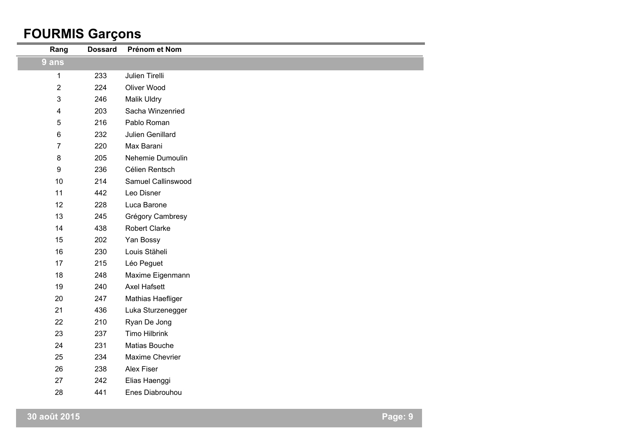### **FOURMIS Garçons**

| Rang           | <b>Dossard</b> | Prénom et Nom        |
|----------------|----------------|----------------------|
| $9$ ans        |                |                      |
| $\mathbf 1$    | 233            | Julien Tirelli       |
| $\overline{2}$ | 224            | Oliver Wood          |
| 3              | 246            | Malik Uldry          |
| 4              | 203            | Sacha Winzenried     |
| 5              | 216            | Pablo Roman          |
| 6              | 232            | Julien Genillard     |
| $\overline{7}$ | 220            | Max Barani           |
| 8              | 205            | Nehemie Dumoulin     |
| 9              | 236            | Célien Rentsch       |
| 10             | 214            | Samuel Callinswood   |
| 11             | 442            | Leo Disner           |
| 12             | 228            | Luca Barone          |
| 13             | 245            | Grégory Cambresy     |
| 14             | 438            | <b>Robert Clarke</b> |
| 15             | 202            | Yan Bossy            |
| 16             | 230            | Louis Stäheli        |
| 17             | 215            | Léo Peguet           |
| 18             | 248            | Maxime Eigenmann     |
| 19             | 240            | <b>Axel Hafsett</b>  |
| 20             | 247            | Mathias Haefliger    |
| 21             | 436            | Luka Sturzenegger    |
| 22             | 210            | Ryan De Jong         |
| 23             | 237            | <b>Timo Hilbrink</b> |
| 24             | 231            | Matias Bouche        |
| 25             | 234            | Maxime Chevrier      |
| 26             | 238            | Alex Fiser           |
| 27             | 242            | Elias Haenggi        |
| 28             | 441            | Enes Diabrouhou      |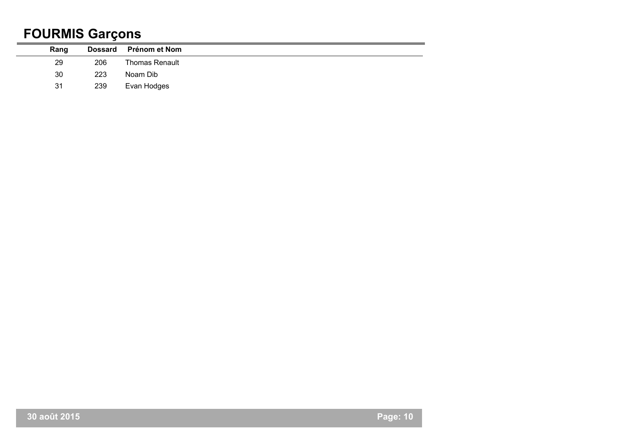### **FOURMIS Garçons**

| Rang |     | Dossard Prénom et Nom |
|------|-----|-----------------------|
| 29   | 206 | <b>Thomas Renault</b> |
| 30   | 223 | Noam Dib              |
| 31   | 239 | Evan Hodges           |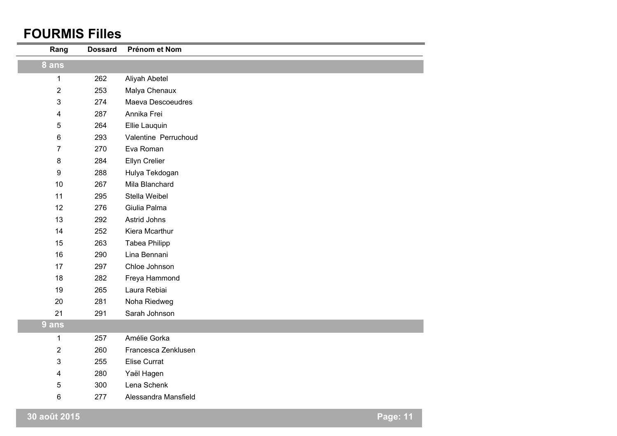#### **FOURMIS Filles**

| Rang                    | <b>Dossard</b> | Prénom et Nom        |                 |
|-------------------------|----------------|----------------------|-----------------|
| 8 ans                   |                |                      |                 |
| 1                       | 262            | Aliyah Abetel        |                 |
| $\overline{2}$          | 253            | Malya Chenaux        |                 |
| 3                       | 274            | Maeva Descoeudres    |                 |
| 4                       | 287            | Annika Frei          |                 |
| 5                       | 264            | Ellie Lauquin        |                 |
| 6                       | 293            | Valentine Perruchoud |                 |
| $\overline{7}$          | 270            | Eva Roman            |                 |
| 8                       | 284            | Ellyn Crelier        |                 |
| $\boldsymbol{9}$        | 288            | Hulya Tekdogan       |                 |
| 10                      | 267            | Mila Blanchard       |                 |
| 11                      | 295            | Stella Weibel        |                 |
| 12                      | 276            | Giulia Palma         |                 |
| 13                      | 292            | Astrid Johns         |                 |
| 14                      | 252            | Kiera Mcarthur       |                 |
| 15                      | 263            | <b>Tabea Philipp</b> |                 |
| 16                      | 290            | Lina Bennani         |                 |
| 17                      | 297            | Chloe Johnson        |                 |
| 18                      | 282            | Freya Hammond        |                 |
| 19                      | 265            | Laura Rebiai         |                 |
| 20                      | 281            | Noha Riedweg         |                 |
| 21                      | 291            | Sarah Johnson        |                 |
| 9 ans                   |                |                      |                 |
| 1                       | 257            | Amélie Gorka         |                 |
| $\overline{2}$          | 260            | Francesca Zenklusen  |                 |
| 3                       | 255            | <b>Elise Currat</b>  |                 |
| $\overline{\mathbf{4}}$ | 280            | Yaël Hagen           |                 |
| 5                       | 300            | Lena Schenk          |                 |
| 6                       | 277            | Alessandra Mansfield |                 |
| 30 août 2015            |                |                      | <b>Page: 11</b> |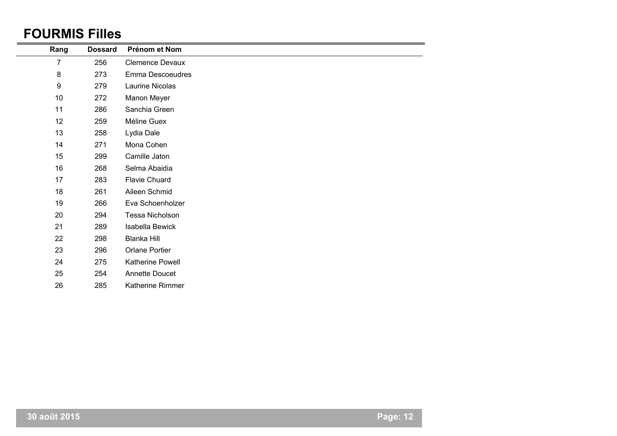#### **FOURMIS Filles**

| Rang             | <b>Dossard</b> | Prénom et Nom           |
|------------------|----------------|-------------------------|
| 7                | 256            | <b>Clemence Devaux</b>  |
| $\bf 8$          | 273            | Emma Descoeudres        |
| $\boldsymbol{9}$ | 279            | Laurine Nicolas         |
| 10               | 272            | Manon Meyer             |
| 11               | 286            | Sanchia Green           |
| 12               | 259            | Méline Guex             |
| 13               | 258            | Lydia Dale              |
| 14               | 271            | Mona Cohen              |
| 15               | 299            | Camille Jaton           |
| 16               | 268            | Selma Abaidia           |
| 17               | 283            | <b>Flavie Chuard</b>    |
| 18               | 261            | Aileen Schmid           |
| 19               | 266            | Eva Schoenholzer        |
| 20               | 294            | Tessa Nicholson         |
| 21               | 289            | Isabella Bewick         |
| 22               | 298            | Blanka Hill             |
| 23               | 296            | Orlane Portier          |
| 24               | 275            | Katherine Powell        |
| 25               | 254            | Annette Doucet          |
| 26               | 285            | <b>Katherine Rimmer</b> |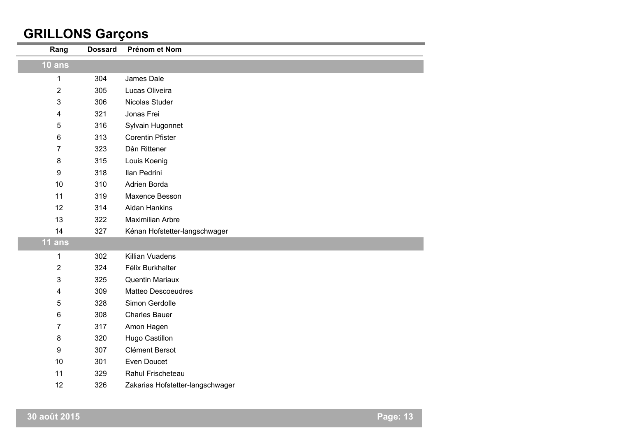### **GRILLONS Garçons**

| Rang             | <b>Dossard</b> | Prénom et Nom                    |
|------------------|----------------|----------------------------------|
| 10 ans           |                |                                  |
| 1                | 304            | James Dale                       |
| $\overline{2}$   | 305            | Lucas Oliveira                   |
| 3                | 306            | Nicolas Studer                   |
| 4                | 321            | Jonas Frei                       |
| 5                | 316            | Sylvain Hugonnet                 |
| 6                | 313            | <b>Corentin Pfister</b>          |
| 7                | 323            | Dân Rittener                     |
| 8                | 315            | Louis Koenig                     |
| 9                | 318            | Ilan Pedrini                     |
| 10               | 310            | Adrien Borda                     |
| 11               | 319            | Maxence Besson                   |
| 12               | 314            | <b>Aidan Hankins</b>             |
| 13               | 322            | <b>Maximilian Arbre</b>          |
| 14               | 327            | Kénan Hofstetter-langschwager    |
| 11 ans           |                |                                  |
| 1                | 302            | Killian Vuadens                  |
| $\overline{2}$   | 324            | Félix Burkhalter                 |
| 3                | 325            | Quentin Mariaux                  |
| 4                | 309            | <b>Matteo Descoeudres</b>        |
| 5                | 328            | Simon Gerdolle                   |
| 6                | 308            | <b>Charles Bauer</b>             |
| 7                | 317            | Amon Hagen                       |
| 8                | 320            | Hugo Castillon                   |
| $\boldsymbol{9}$ | 307            | Clément Bersot                   |
| 10               | 301            | Even Doucet                      |
| 11               | 329            | Rahul Frischeteau                |
| 12               | 326            | Zakarias Hofstetter-langschwager |
|                  |                |                                  |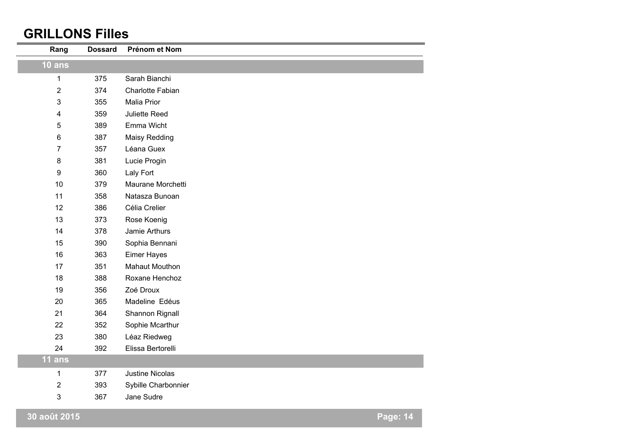#### **GRILLONS Filles**

| Rang             | <b>Dossard</b> | Prénom et Nom          |                 |
|------------------|----------------|------------------------|-----------------|
| 10 ans           |                |                        |                 |
| $\mathbf{1}$     | 375            | Sarah Bianchi          |                 |
| $\overline{2}$   | 374            | Charlotte Fabian       |                 |
| 3                | 355            | Malia Prior            |                 |
| 4                | 359            | Juliette Reed          |                 |
| 5                | 389            | Emma Wicht             |                 |
| 6                | 387            | <b>Maisy Redding</b>   |                 |
| $\overline{7}$   | 357            | Léana Guex             |                 |
| 8                | 381            | Lucie Progin           |                 |
| $\boldsymbol{9}$ | 360            | Laly Fort              |                 |
| 10               | 379            | Maurane Morchetti      |                 |
| 11               | 358            | Natasza Bunoan         |                 |
| 12               | 386            | Célia Crelier          |                 |
| 13               | 373            | Rose Koenig            |                 |
| 14               | 378            | Jamie Arthurs          |                 |
| 15               | 390            | Sophia Bennani         |                 |
| 16               | 363            | Eimer Hayes            |                 |
| 17               | 351            | Mahaut Mouthon         |                 |
| 18               | 388            | Roxane Henchoz         |                 |
| 19               | 356            | Zoé Droux              |                 |
| 20               | 365            | Madeline Edéus         |                 |
| 21               | 364            | Shannon Rignall        |                 |
| 22               | 352            | Sophie Mcarthur        |                 |
| 23               | 380            | Léaz Riedweg           |                 |
| 24               | 392            | Elissa Bertorelli      |                 |
| $11$ ans         |                |                        |                 |
| 1                | 377            | <b>Justine Nicolas</b> |                 |
| $\mathbf{2}$     | 393            | Sybille Charbonnier    |                 |
| 3                | 367            | Jane Sudre             |                 |
| 30 août 2015     |                |                        | <b>Page: 14</b> |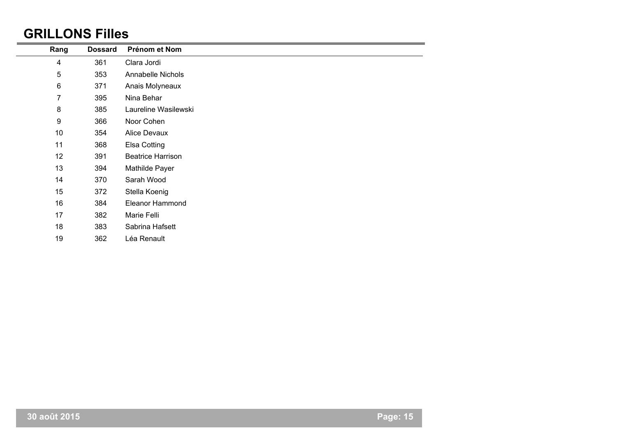#### **GRILLONS Filles**

| Rang             | <b>Dossard</b> | Prénom et Nom            |
|------------------|----------------|--------------------------|
| 4                | 361            | Clara Jordi              |
| 5                | 353            | Annabelle Nichols        |
| $\,6$            | 371            | Anais Molyneaux          |
| 7                | 395            | Nina Behar               |
| 8                | 385            | Laureline Wasilewski     |
| $\boldsymbol{9}$ | 366            | Noor Cohen               |
| 10               | 354            | Alice Devaux             |
| 11               | 368            | Elsa Cotting             |
| 12               | 391            | <b>Beatrice Harrison</b> |
| 13               | 394            | Mathilde Payer           |
| 14               | 370            | Sarah Wood               |
| 15               | 372            | Stella Koenig            |
| 16               | 384            | <b>Eleanor Hammond</b>   |
| 17               | 382            | Marie Felli              |
| 18               | 383            | Sabrina Hafsett          |
| 19               | 362            | Léa Renault              |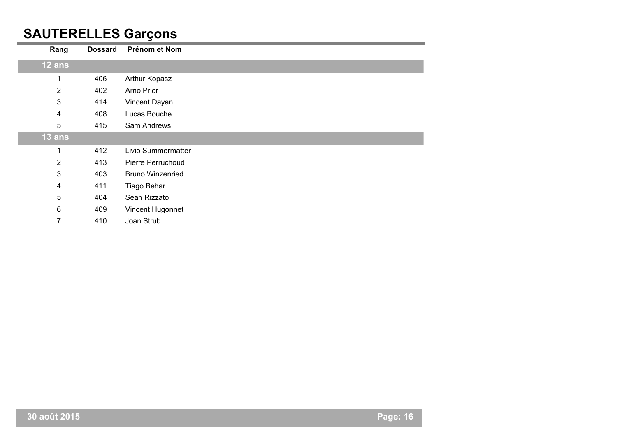### **SAUTERELLES Garçons**

| Rang           | <b>Dossard</b> | Prénom et Nom           |
|----------------|----------------|-------------------------|
| 12 ans         |                |                         |
| 1              | 406            | Arthur Kopasz           |
| $\overline{2}$ | 402            | Arno Prior              |
| 3              | 414            | Vincent Dayan           |
| 4              | 408            | Lucas Bouche            |
| 5              | 415            | Sam Andrews             |
| 13 ans         |                |                         |
| 1              | 412            | Livio Summermatter      |
| $\overline{2}$ | 413            | Pierre Perruchoud       |
| 3              | 403            | <b>Bruno Winzenried</b> |
| 4              | 411            | Tiago Behar             |
| 5              | 404            | Sean Rizzato            |
| $6\phantom{a}$ | 409            | Vincent Hugonnet        |
| 7              | 410            | Joan Strub              |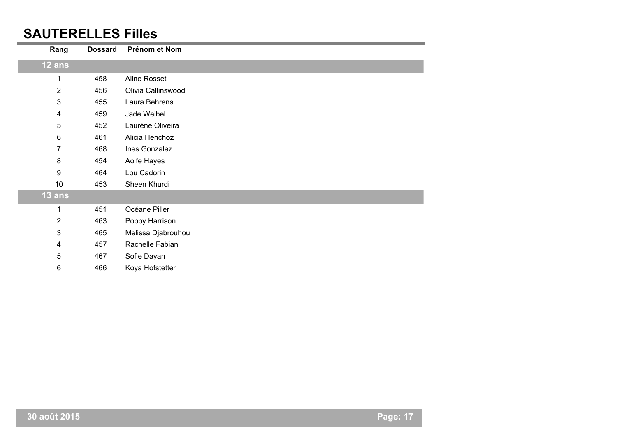#### **SAUTERELLES Filles**

| Rang           | <b>Dossard</b> | Prénom et Nom      |
|----------------|----------------|--------------------|
| 12 ans         |                |                    |
| 1              | 458            | Aline Rosset       |
| $\overline{2}$ | 456            | Olivia Callinswood |
| $\mathbf{3}$   | 455            | Laura Behrens      |
| 4              | 459            | Jade Weibel        |
| 5              | 452            | Laurène Oliveira   |
| 6              | 461            | Alicia Henchoz     |
| 7              | 468            | Ines Gonzalez      |
| 8              | 454            | Aoife Hayes        |
| 9              | 464            | Lou Cadorin        |
| 10             | 453            | Sheen Khurdi       |
| $13$ ans       |                |                    |
|                | 451            | Océane Piller      |
| $\overline{2}$ | 463            | Poppy Harrison     |
| $\mathbf{3}$   | 465            | Melissa Djabrouhou |
| 4              | 457            | Rachelle Fabian    |
| 5              | 467            | Sofie Dayan        |
| 6              | 466            | Koya Hofstetter    |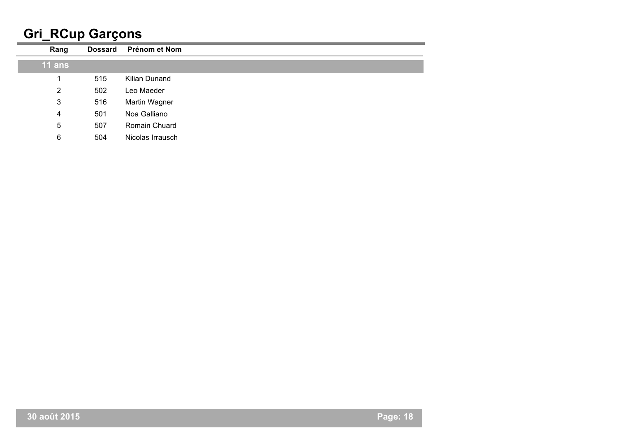## **Gri\_RCup Garçons**

| Rang           | <b>Dossard</b> | Prénom et Nom    |
|----------------|----------------|------------------|
| $11$ ans       |                |                  |
|                | 515            | Kilian Dunand    |
| $\overline{2}$ | 502            | Leo Maeder       |
| 3              | 516            | Martin Wagner    |
| 4              | 501            | Noa Galliano     |
| 5              | 507            | Romain Chuard    |
| 6              | 504            | Nicolas Irrausch |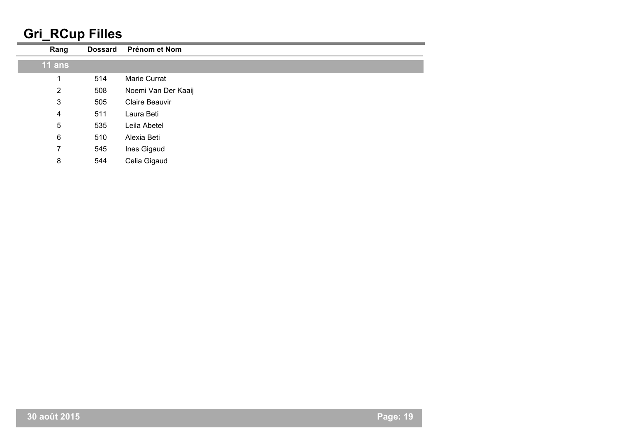## **Gri\_RCup Filles**

| Rang           | <b>Dossard</b> | Prénom et Nom       |
|----------------|----------------|---------------------|
| $11$ ans       |                |                     |
|                | 514            | Marie Currat        |
| 2              | 508            | Noemi Van Der Kaaij |
| $\mathbf{3}$   | 505            | Claire Beauvir      |
| $\overline{4}$ | 511            | Laura Beti          |
| 5              | 535            | Leila Abetel        |
| 6              | 510            | Alexia Beti         |
| 7              | 545            | Ines Gigaud         |
| 8              | 544            | Celia Gigaud        |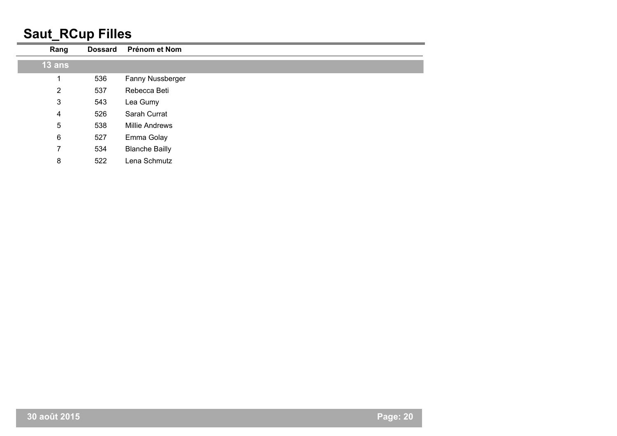### **Saut\_RCup Filles**

| Rang           | <b>Dossard</b> | Prénom et Nom         |
|----------------|----------------|-----------------------|
| $13$ ans       |                |                       |
|                | 536            | Fanny Nussberger      |
| $\overline{2}$ | 537            | Rebecca Beti          |
| 3              | 543            | Lea Gumy              |
| 4              | 526            | Sarah Currat          |
| 5              | 538            | <b>Millie Andrews</b> |
| 6              | 527            | Emma Golay            |
| 7              | 534            | <b>Blanche Bailly</b> |
| 8              | 522            | Lena Schmutz          |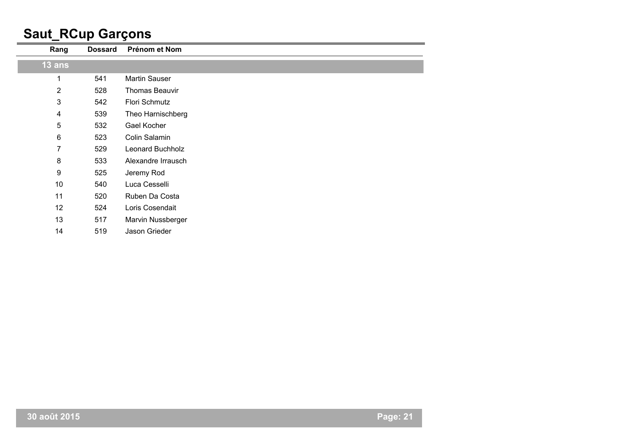### **Saut\_RCup Garçons**

| Rang                      | <b>Dossard</b> | Prénom et Nom         |
|---------------------------|----------------|-----------------------|
|                           |                |                       |
| $13$ ans                  |                |                       |
| 1                         | 541            | Martin Sauser         |
| $\overline{2}$            | 528            | <b>Thomas Beauvir</b> |
| $\ensuremath{\mathsf{3}}$ | 542            | Flori Schmutz         |
| 4                         | 539            | Theo Harnischberg     |
| 5                         | 532            | Gael Kocher           |
| 6                         | 523            | Colin Salamin         |
| 7                         | 529            | Leonard Buchholz      |
| 8                         | 533            | Alexandre Irrausch    |
| 9                         | 525            | Jeremy Rod            |
| 10                        | 540            | Luca Cesselli         |
| 11                        | 520            | Ruben Da Costa        |
| 12                        | 524            | Loris Cosendait       |
| 13                        | 517            | Marvin Nussberger     |
| 14                        | 519            | Jason Grieder         |